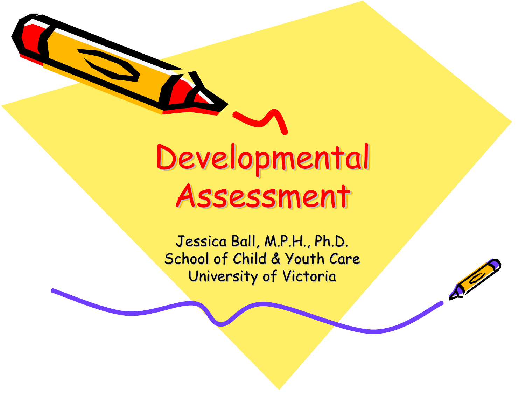Developmental Developmental Assessment Assessment Assessment

Jessica Ball, M.P.H., Ph.D. School of Child & Youth Care University of Victoria

 $\mathcal{S}^0$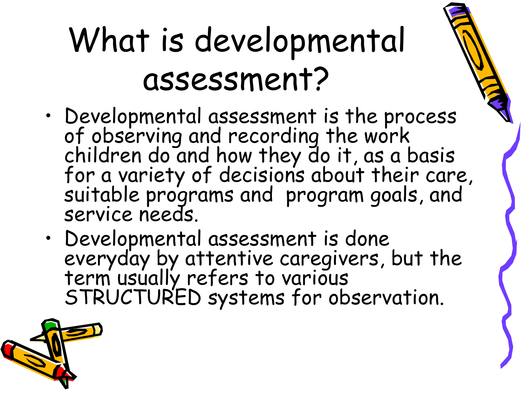# What is developmental assessment?

- •Developmental assessment is the process of observing and recording the work children do and how they do it, as a basis for a variety of decisions about their care, suitable programs and program goals, and service needs.
- Developmental assessment is done everyday by attentive caregivers, but the<br>term usually refers to various<br>STRUCTURED systems for observation.

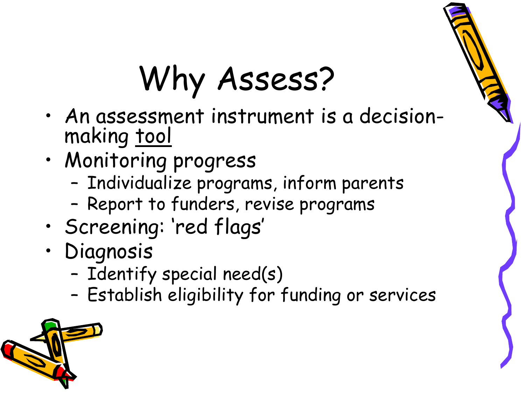### Why Assess?

- • An assessment instrument is a decisionmaking tool
- • Monitoring progress
	- –Individualize programs, inform parents
	- –Report to funders, revise programs
- •Screening: 'red flags'
- • Diagnosis
	- –Identify special need(s)
	- –Establish eligibility for funding or services

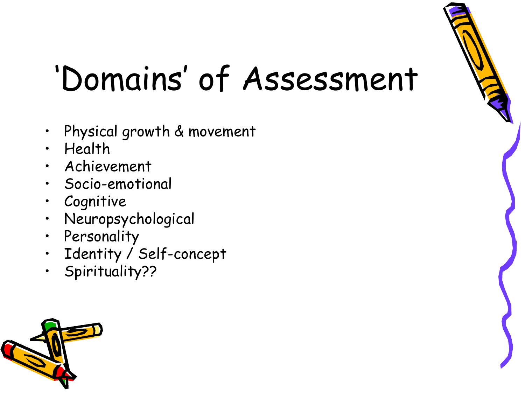### 'Domains' of Assessment

- •Physical growth & movement
- $\bullet$ Health
- Achievement
- Socio-emotional
- •Cognitive
- Neuropsychological
- Personality
- Identity / Self-concept
- Spirituality??



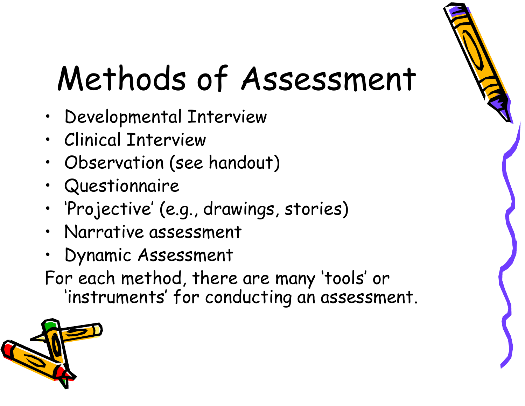# Methods of Assessment

- •Developmental Interview
- •Clinical Interview
- •Observation (see handout)
- Questionnaire
- •'Projective' (e.g., drawings, stories)
- •Narrative assessment
- Dynamic Assessment
- For each method, there are many 'tools' or 'instruments' for conducting an assessment.

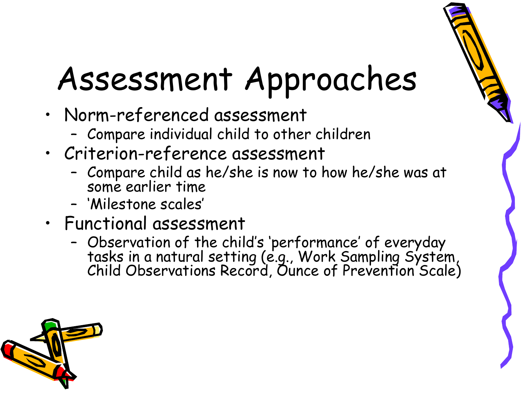# Assessment Approaches

- • Norm-referenced assessment
	- –Compare individual child to other children
- • Criterion-reference assessment
	- –Compare child as he/she is now to how he/she was at<br>some earlier time
	- 'Milestone scales'
- • Functional assessment
	- –Observation of the child's 'performance' of everyday tasks in a natural setting (e.g., Work Sampling System, Child Observations Record, Ounce of Prevention Scale)

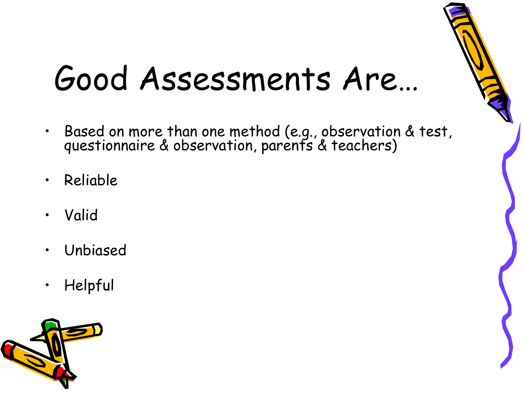#### Good Assessments Are…

- $\bullet$ Based on more than one method (e.g., observation & test, questionnaire & observation, parents & teachers)
- $\bullet$ Reliable
- •Valid
- $\bullet$ Unbiased
- •Helpful

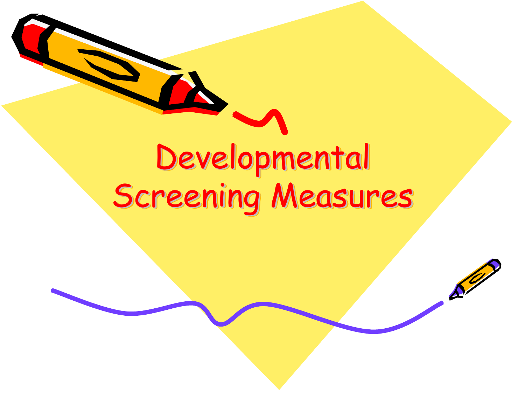### Developmental Developmental Screening Measures

 $\mathcal{S}^{\prime\prime}$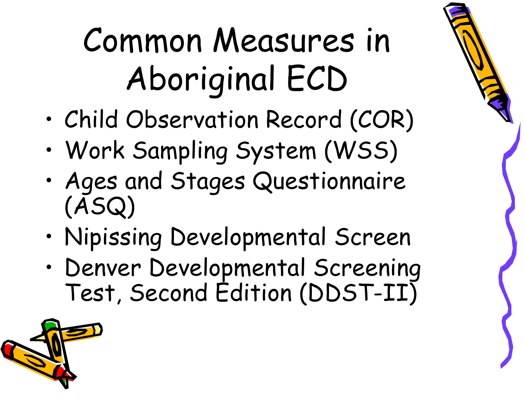# Common Measures in Aboriginal ECD

- •Child Observation Record (COR)
- •Work Sampling System (WSS)
- • Ages and Stages Questionnaire (ASQ)
- •Nipissing Developmental Screen
- • Denver Developmental Screening Test, Second Edition (DDST-II)

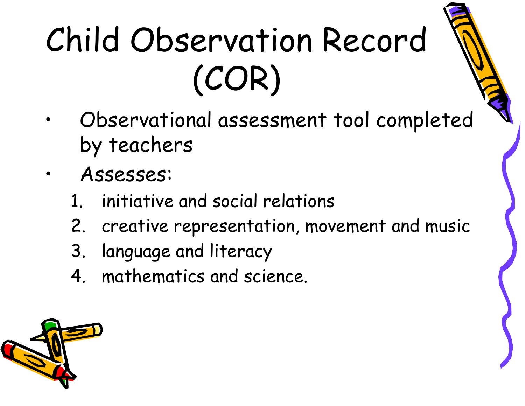# Child Observation Record (COR)

- • Observational assessment tool completed by teachers
- • Assesses:
	- 1. initiative and social relations
	- 2. creative representation, movement and music
	- 3. language and literacy
	- 4. mathematics and science.

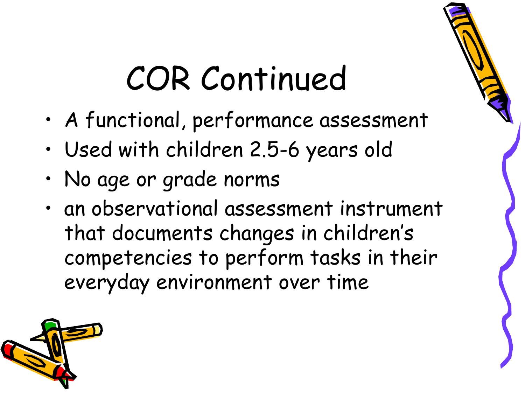### COR Continued

- •A functional, performance assessment
- •Used with children 2.5-6 years old
- •No age or grade norms
- • an observational assessment instrument that documents changes in children's competencies to perform tasks in their everyday environment over time

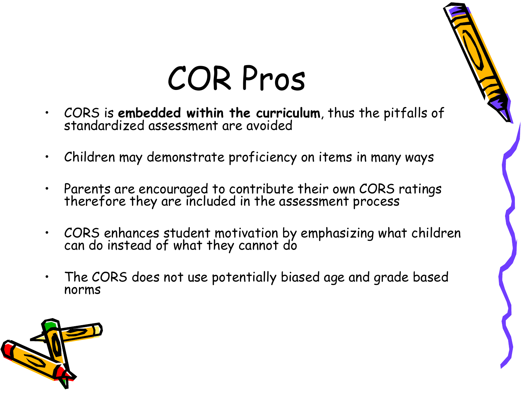### COR Pros

- •CORS is **embedded within the curriculum**, thus the pitfalls of standardized assessment are avoided
- •Children may demonstrate proficiency on items in many ways
- •Parents are encouraged to contribute their own CORS ratings therefore they are included in the assessment process
- •CORS enhances student motivation by emphasizing what children can do instead of what they cannot do
- • The CORS does not use potentially biased age and grade based norms

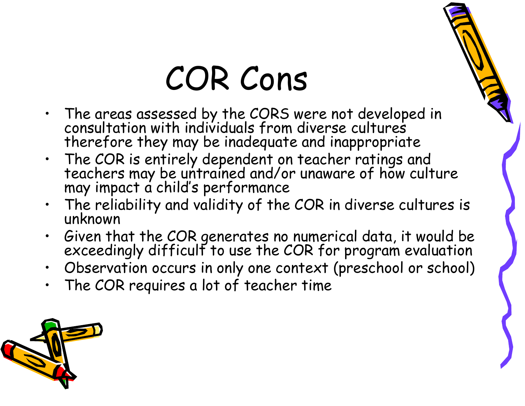## COR Cons

- $\bullet$  The areas assessed by the CORS were not developed in consultation with individuals from diverse cultures therefore they may be inadequate and inappropriate
- The COR is entirely dependent on teacher ratings and<br>teachers may be untrained and/or unaware of how culture<br>may impact a child's performance
- •The reliability and validity of the COR in diverse cultures is unknown
- •Given that the COR generates no numerical data, it would be exceedingly difficult to use the COR for program evaluation
- •Observation occurs in only one context (preschool or school)
- •The COR requires a lot of teacher time

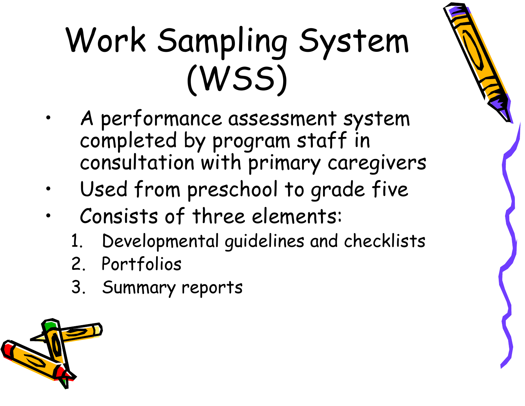# Work Sampling System (WSS)

- • A performance assessment system completed by program staff in consultation with primary caregivers
- •Used from preschool to grade five
- • Consists of three elements:
	- Developmental guidelines and checklists
	- 2. Portfolios
	- 3. Summary reports

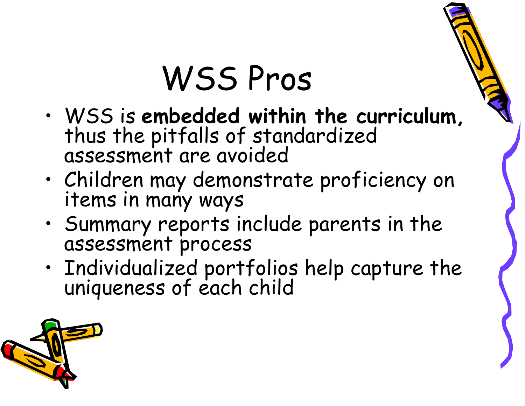### WSS Pros

- • WSS is **embedded within the curriculum,** thus the pitfalls of standardized<br>assessment are avoided
- •Children may demonstrate proficiency on items in many ways
- •Summary reports include parents in the assessment process
- •Individualized portfolios help capture the<br>uniqueness of each child

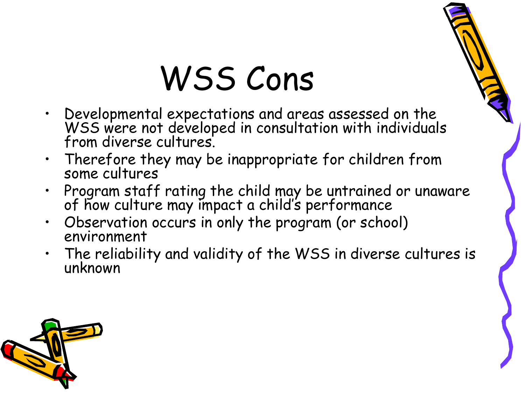### WSS Cons

- •Developmental expectations and areas assessed on the WSS were not developed in consultation with individuals from diverse cultures.
- $\bullet$ Therefore they may be inappropriate for children from some cultures
- •Program staff rating the child may be untrained or unaware<br>of how culture may impact a child's performance
- •Observation occurs in only the program (or school) environment
- The reliability and validity of the WSS in diverse cultures is unknown

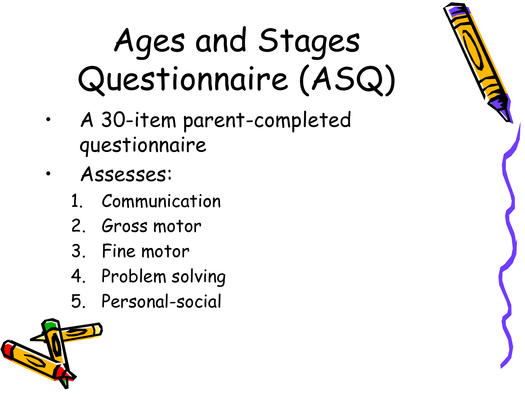# Ages and Stages Questionnaire (ASQ)

- • A 30-item parent-completed questionnaire
- • Assesses:
	- **Communication**
	- 2. Gross motor
	- 3. Fine motor
	- 4. Problem solving
	- 5. Personal-social

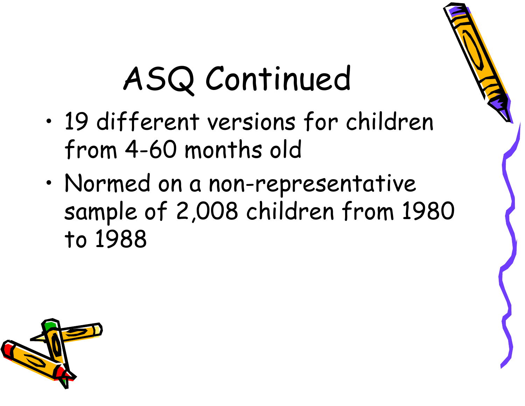# ASQ Continued

- • 19 different versions for children from 4-60 months old
- • Normed on a non-representative sample of 2,008 children from 1980 to 1988

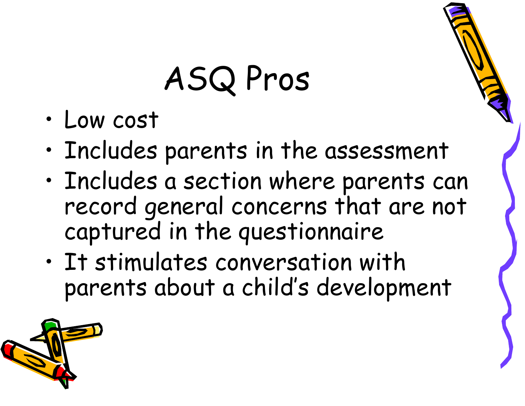# ASQ Pros

- •Low cost
- •Includes parents in the assessment
- • Includes a section where parents can record general concerns that are not captured in the questionnaire
- • It stimulates conversation with parents about a child's development

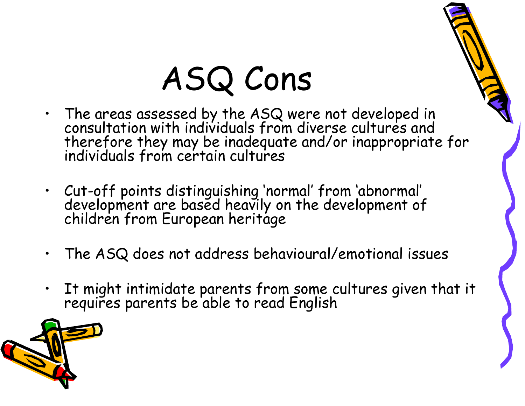# ASQ Cons

- $\bullet$  The areas assessed by the ASQ were not developed in consultation with individuals from diverse cultures and therefore they may be inadequate and/or inappropriate for individuals from certain cultures
- Cut-off points distinguishing 'normal' from 'abnormal' development are based heavily on the development of children from European heritage
- $\bullet$ The ASQ does not address behavioural/emotional issues
- $\bullet$ It might intimidate parents from some cultures given that it requires parents be able to read English

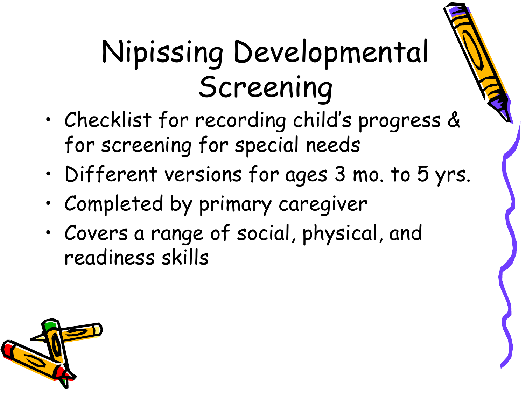#### Nipissing Developmental Screening

- • Checklist for recording child's progress & for screening for special needs
- •Different versions for ages 3 mo. to 5 yrs.
- •Completed by primary caregiver
- • Covers a range of social, physical, and readiness skills

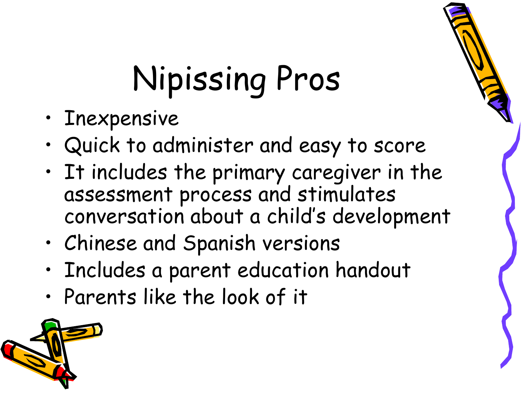# Nipissing Pros

- •Inexpensive
- •Quick to administer and easy to score
- • It includes the primary caregiver in the assessment process and stimulates conversation about a child's development
- •Chinese and Spanish versions
- •Includes a parent education handout
- •Parents like the look of it

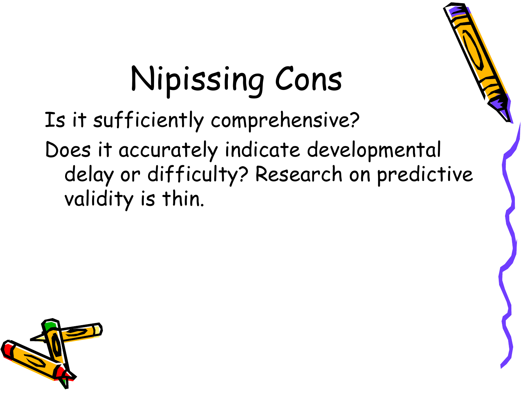# Nipissing Cons

Is it sufficiently comprehensive?

Does it accurately indicate developmental delay or difficulty? Research on predictive validity is thin.

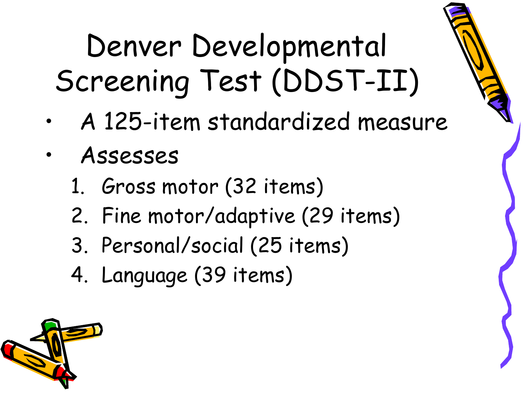#### Denver Developmental Screening Test (DDST-II)

- •A 125-item standardized measure
- • Assesses
	- 1. Gross motor (32 items)
	- 2. Fine motor/adaptive (29 items)
	- 3. Personal/social (25 items)
	- 4. Language (39 items)

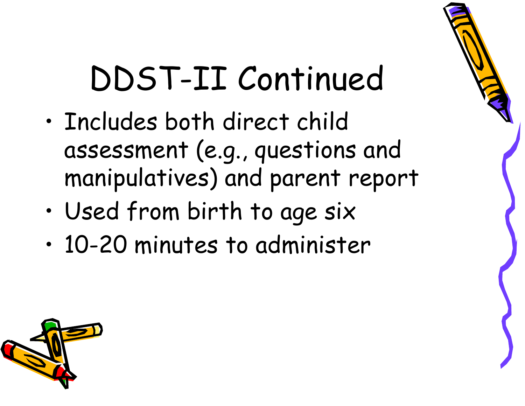### DDST-II Continued

- • Includes both direct child assessment (e.g., questions and manipulatives) and parent report
- •Used from birth to age six
- •10-20 minutes to administer

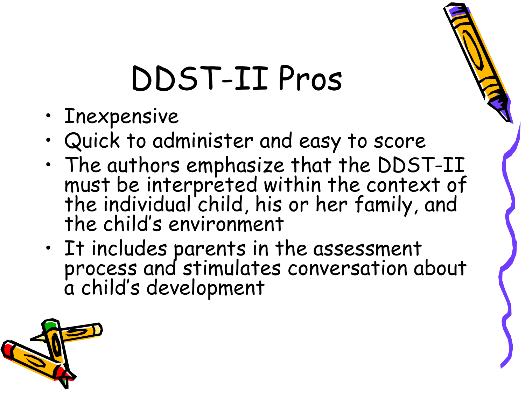### DDST-II Pros

- •Inexpensive
- •Quick to administer and easy to score
- •The authors emphasize that the DDST-II must be interpreted within the context of the individual child, his or her family, and the child's environment
- It includes parents in the assessment process and stimulates conversation about<br>a child's development

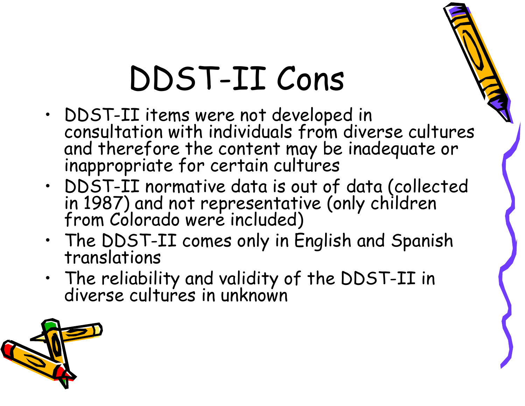### DDST-II Cons

- • DDST-II items were not developed in consultation with individuals from diverse cultures and therefore the content may be inadequate or inappropriate for certain cultures
- •DDST-II normative data is out of data (collected in 1987) and not representative (only children from Colorado were included)
- •The DDST-II comes only in English and Spanish translations
- •The reliability and validity of the DDST-II in diverse cultures in unknown

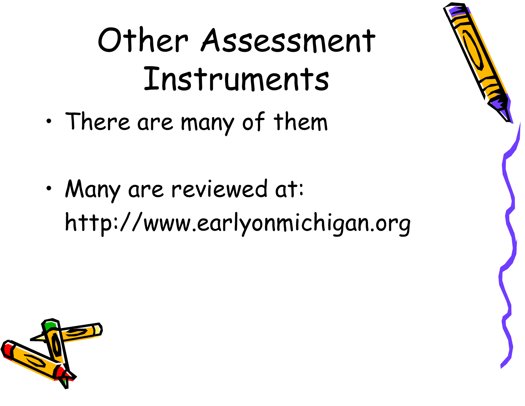## Other Assessment Instruments

- •There are many of them
- • Many are reviewed at: http://www.earlyonmichigan.org

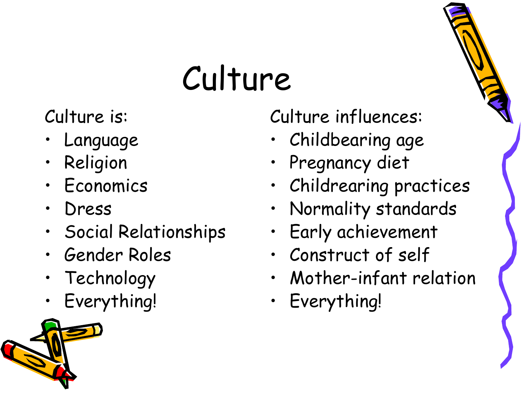# Culture

Culture is:

- •Language
- •Religion
- •Economics
- •Dress
- •Social Relationships
- •Gender Roles
- •Technology
- •Everything!



Culture influences:

- •Childbearing age
- •Pregnancy diet
- •Childrearing practices
- •Normality standards
- •Early achievement
- •Construct of self
- •Mother-infant relation
- •Everything!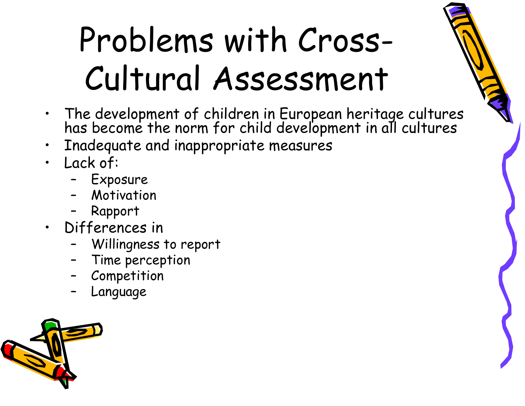# Problems with Cross-Cultural Assessment

- The development of children in European heritage cultures has become the norm for child development in all cultures
- $\bullet$ Inadequate and inappropriate measures
- Lack of:
	- –Exposure
	- Motivation
	- –Rapport
- Differences in
	- –Willingness to report
	- Time perception
	- –Competition
	- –Language

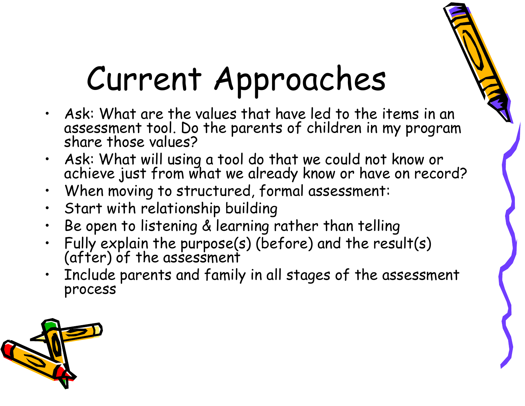# Current Approaches

- $\bullet$  Ask: What are the values that have led to the items in an assessment tool. Do the parents of children in my program share those values?
- Ask: What will using a tool do that we could not know or achieve just from what we already know or have on record?
- •When moving to structured, formal assessment:
- •Start with relationship building
- $\bullet$ Be open to listening & learning rather than telling
- •Fully explain the purpose(s) (before) and the result(s) (after) of the assessment
- • Include parents and family in all stages of the assessment process